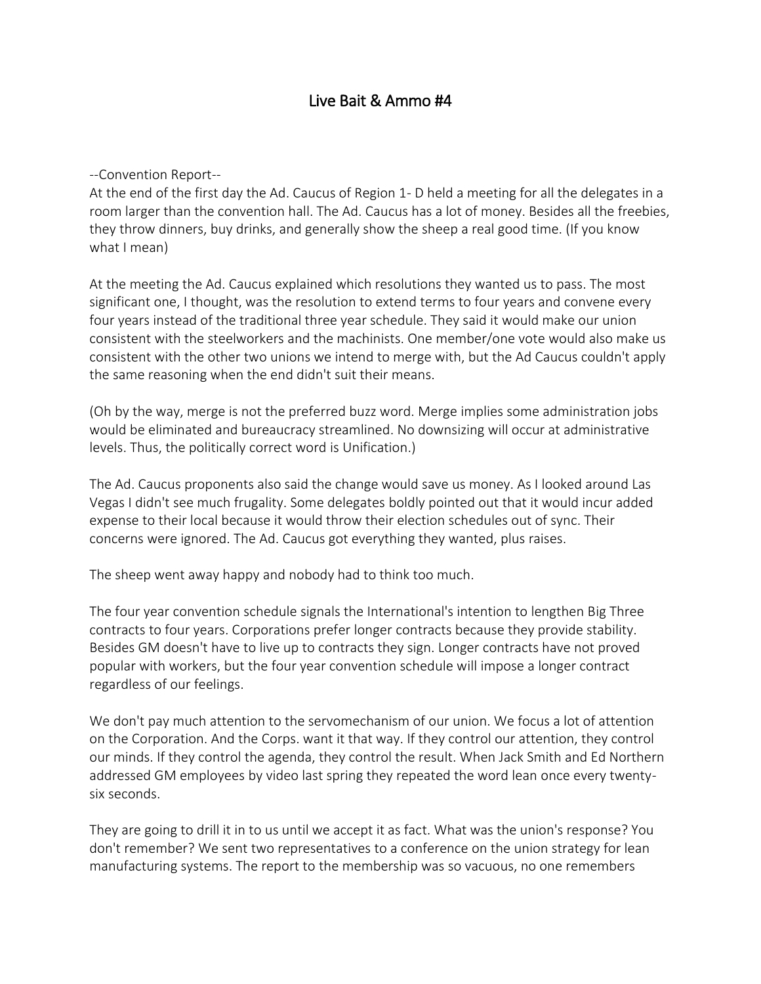## Live Bait & Ammo #4

--Convention Report--

At the end of the first day the Ad. Caucus of Region 1- D held a meeting for all the delegates in a room larger than the convention hall. The Ad. Caucus has a lot of money. Besides all the freebies, they throw dinners, buy drinks, and generally show the sheep a real good time. (If you know what I mean)

At the meeting the Ad. Caucus explained which resolutions they wanted us to pass. The most significant one, I thought, was the resolution to extend terms to four years and convene every four years instead of the traditional three year schedule. They said it would make our union consistent with the steelworkers and the machinists. One member/one vote would also make us consistent with the other two unions we intend to merge with, but the Ad Caucus couldn't apply the same reasoning when the end didn't suit their means.

(Oh by the way, merge is not the preferred buzz word. Merge implies some administration jobs would be eliminated and bureaucracy streamlined. No downsizing will occur at administrative levels. Thus, the politically correct word is Unification.)

The Ad. Caucus proponents also said the change would save us money. As I looked around Las Vegas I didn't see much frugality. Some delegates boldly pointed out that it would incur added expense to their local because it would throw their election schedules out of sync. Their concerns were ignored. The Ad. Caucus got everything they wanted, plus raises.

The sheep went away happy and nobody had to think too much.

The four year convention schedule signals the International's intention to lengthen Big Three contracts to four years. Corporations prefer longer contracts because they provide stability. Besides GM doesn't have to live up to contracts they sign. Longer contracts have not proved popular with workers, but the four year convention schedule will impose a longer contract regardless of our feelings.

We don't pay much attention to the servomechanism of our union. We focus a lot of attention on the Corporation. And the Corps. want it that way. If they control our attention, they control our minds. If they control the agenda, they control the result. When Jack Smith and Ed Northern addressed GM employees by video last spring they repeated the word lean once every twentysix seconds.

They are going to drill it in to us until we accept it as fact. What was the union's response? You don't remember? We sent two representatives to a conference on the union strategy for lean manufacturing systems. The report to the membership was so vacuous, no one remembers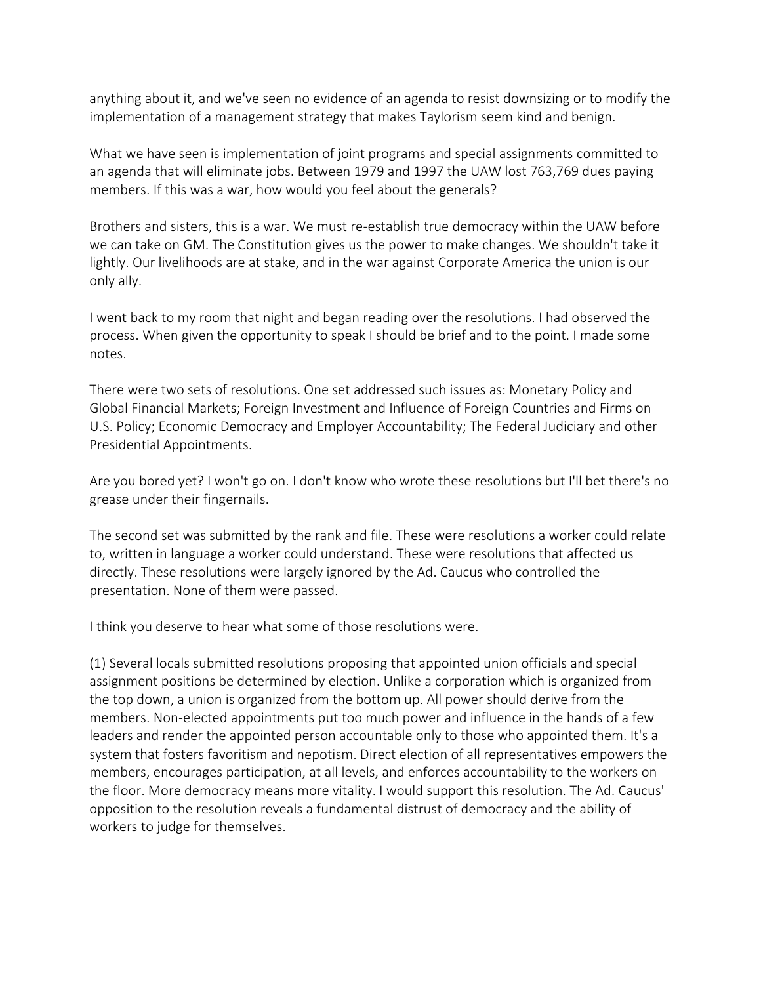anything about it, and we've seen no evidence of an agenda to resist downsizing or to modify the implementation of a management strategy that makes Taylorism seem kind and benign.

What we have seen is implementation of joint programs and special assignments committed to an agenda that will eliminate jobs. Between 1979 and 1997 the UAW lost 763,769 dues paying members. If this was a war, how would you feel about the generals?

Brothers and sisters, this is a war. We must re-establish true democracy within the UAW before we can take on GM. The Constitution gives us the power to make changes. We shouldn't take it lightly. Our livelihoods are at stake, and in the war against Corporate America the union is our only ally.

I went back to my room that night and began reading over the resolutions. I had observed the process. When given the opportunity to speak I should be brief and to the point. I made some notes.

There were two sets of resolutions. One set addressed such issues as: Monetary Policy and Global Financial Markets; Foreign Investment and Influence of Foreign Countries and Firms on U.S. Policy; Economic Democracy and Employer Accountability; The Federal Judiciary and other Presidential Appointments.

Are you bored yet? I won't go on. I don't know who wrote these resolutions but I'll bet there's no grease under their fingernails.

The second set was submitted by the rank and file. These were resolutions a worker could relate to, written in language a worker could understand. These were resolutions that affected us directly. These resolutions were largely ignored by the Ad. Caucus who controlled the presentation. None of them were passed.

I think you deserve to hear what some of those resolutions were.

(1) Several locals submitted resolutions proposing that appointed union officials and special assignment positions be determined by election. Unlike a corporation which is organized from the top down, a union is organized from the bottom up. All power should derive from the members. Non-elected appointments put too much power and influence in the hands of a few leaders and render the appointed person accountable only to those who appointed them. It's a system that fosters favoritism and nepotism. Direct election of all representatives empowers the members, encourages participation, at all levels, and enforces accountability to the workers on the floor. More democracy means more vitality. I would support this resolution. The Ad. Caucus' opposition to the resolution reveals a fundamental distrust of democracy and the ability of workers to judge for themselves.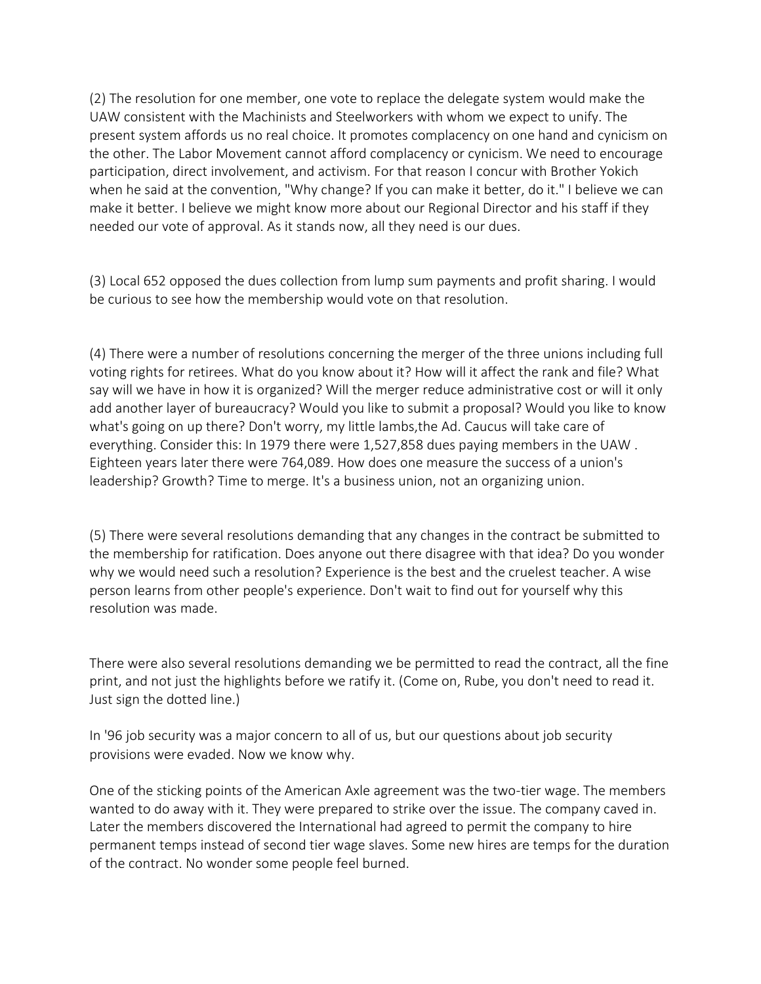(2) The resolution for one member, one vote to replace the delegate system would make the UAW consistent with the Machinists and Steelworkers with whom we expect to unify. The present system affords us no real choice. It promotes complacency on one hand and cynicism on the other. The Labor Movement cannot afford complacency or cynicism. We need to encourage participation, direct involvement, and activism. For that reason I concur with Brother Yokich when he said at the convention, "Why change? If you can make it better, do it." I believe we can make it better. I believe we might know more about our Regional Director and his staff if they needed our vote of approval. As it stands now, all they need is our dues.

(3) Local 652 opposed the dues collection from lump sum payments and profit sharing. I would be curious to see how the membership would vote on that resolution.

(4) There were a number of resolutions concerning the merger of the three unions including full voting rights for retirees. What do you know about it? How will it affect the rank and file? What say will we have in how it is organized? Will the merger reduce administrative cost or will it only add another layer of bureaucracy? Would you like to submit a proposal? Would you like to know what's going on up there? Don't worry, my little lambs,the Ad. Caucus will take care of everything. Consider this: In 1979 there were 1,527,858 dues paying members in the UAW . Eighteen years later there were 764,089. How does one measure the success of a union's leadership? Growth? Time to merge. It's a business union, not an organizing union.

(5) There were several resolutions demanding that any changes in the contract be submitted to the membership for ratification. Does anyone out there disagree with that idea? Do you wonder why we would need such a resolution? Experience is the best and the cruelest teacher. A wise person learns from other people's experience. Don't wait to find out for yourself why this resolution was made.

There were also several resolutions demanding we be permitted to read the contract, all the fine print, and not just the highlights before we ratify it. (Come on, Rube, you don't need to read it. Just sign the dotted line.)

In '96 job security was a major concern to all of us, but our questions about job security provisions were evaded. Now we know why.

One of the sticking points of the American Axle agreement was the two-tier wage. The members wanted to do away with it. They were prepared to strike over the issue. The company caved in. Later the members discovered the International had agreed to permit the company to hire permanent temps instead of second tier wage slaves. Some new hires are temps for the duration of the contract. No wonder some people feel burned.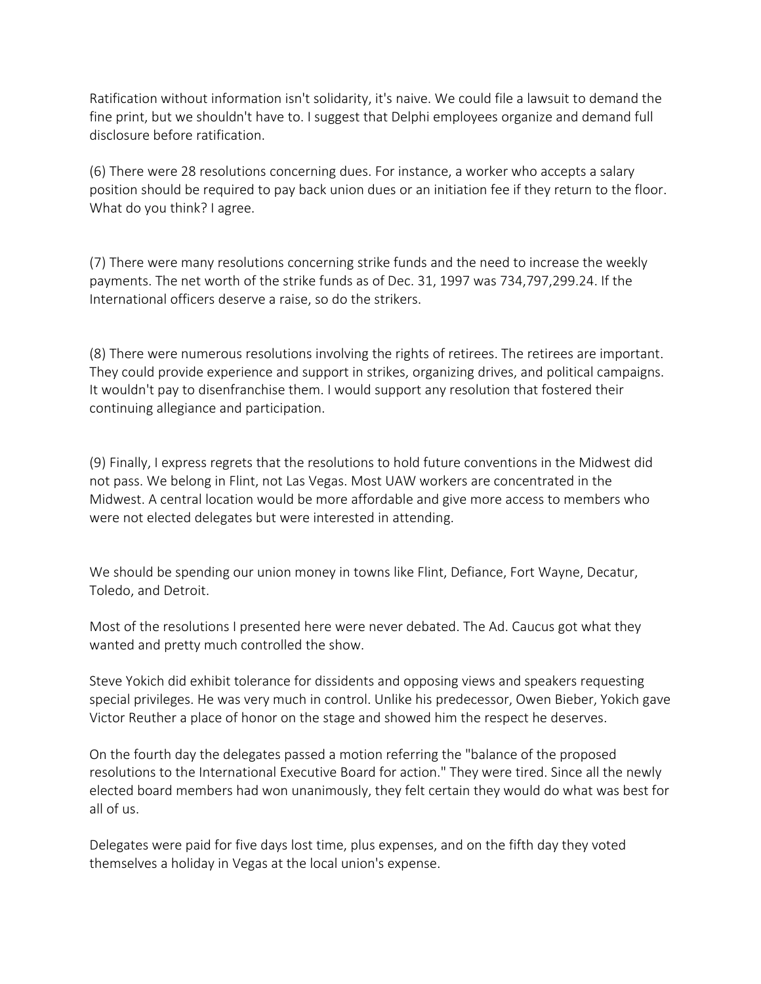Ratification without information isn't solidarity, it's naive. We could file a lawsuit to demand the fine print, but we shouldn't have to. I suggest that Delphi employees organize and demand full disclosure before ratification.

(6) There were 28 resolutions concerning dues. For instance, a worker who accepts a salary position should be required to pay back union dues or an initiation fee if they return to the floor. What do you think? I agree.

(7) There were many resolutions concerning strike funds and the need to increase the weekly payments. The net worth of the strike funds as of Dec. 31, 1997 was 734,797,299.24. If the International officers deserve a raise, so do the strikers.

(8) There were numerous resolutions involving the rights of retirees. The retirees are important. They could provide experience and support in strikes, organizing drives, and political campaigns. It wouldn't pay to disenfranchise them. I would support any resolution that fostered their continuing allegiance and participation.

(9) Finally, I express regrets that the resolutions to hold future conventions in the Midwest did not pass. We belong in Flint, not Las Vegas. Most UAW workers are concentrated in the Midwest. A central location would be more affordable and give more access to members who were not elected delegates but were interested in attending.

We should be spending our union money in towns like Flint, Defiance, Fort Wayne, Decatur, Toledo, and Detroit.

Most of the resolutions I presented here were never debated. The Ad. Caucus got what they wanted and pretty much controlled the show.

Steve Yokich did exhibit tolerance for dissidents and opposing views and speakers requesting special privileges. He was very much in control. Unlike his predecessor, Owen Bieber, Yokich gave Victor Reuther a place of honor on the stage and showed him the respect he deserves.

On the fourth day the delegates passed a motion referring the "balance of the proposed resolutions to the International Executive Board for action." They were tired. Since all the newly elected board members had won unanimously, they felt certain they would do what was best for all of us.

Delegates were paid for five days lost time, plus expenses, and on the fifth day they voted themselves a holiday in Vegas at the local union's expense.